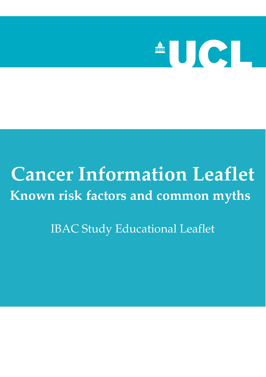

# **Cancer Information Leaflet Known risk factors and common myths**

IBAC Study Educational Leaflet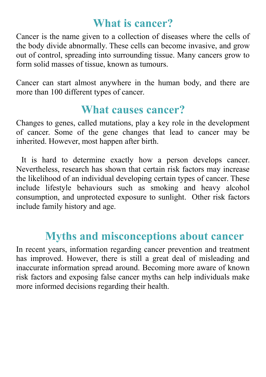### **What is cancer?**

Cancer is the name given to a collection of diseases where the cells of the body divide abnormally. These cells can become invasive, and grow out of control, spreading into surrounding tissue. Many cancers grow to form solid masses of tissue, known as tumours.

Cancer can start almost anywhere in the human body, and there are more than 100 different types of cancer.

### **What causes cancer?**

Changes to genes, called mutations, play a key role in the development of cancer. Some of the gene changes that lead to cancer may be inherited. However, most happen after birth.

 It is hard to determine exactly how a person develops cancer. Nevertheless, research has shown that certain risk factors may increase the likelihood of an individual developing certain types of cancer. These include lifestyle behaviours such as smoking and heavy alcohol consumption, and unprotected exposure to sunlight. Other risk factors include family history and age.

# **Myths and misconceptions about cancer**

In recent years, information regarding cancer prevention and treatment has improved. However, there is still a great deal of misleading and inaccurate information spread around. Becoming more aware of known risk factors and exposing false cancer myths can help individuals make more informed decisions regarding their health.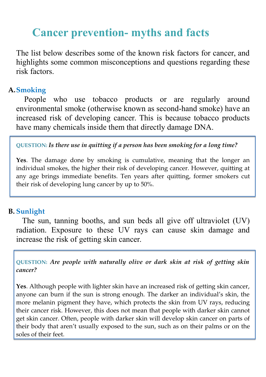## **Cancer prevention- myths and facts**

The list below describes some of the known risk factors for cancer, and highlights some common misconceptions and questions regarding these risk factors.

#### **A.Smoking**

People who use tobacco products or are regularly around environmental smoke (otherwise known as second-hand smoke) have an increased risk of developing cancer. This is because tobacco products have many chemicals inside them that directly damage DNA.

**QUESTION:** *Is there use in quitting if a person has been smoking for a long time?*

Yes. The damage done by smoking is cumulative, meaning that the longer an individual smokes, the higher their risk of developing cancer. However, quitting at any age brings immediate benefits. Ten years after quitting, former smokers cut their risk of developing lung cancer by up to 50%.

#### **B. Sunlight**

The sun, tanning booths, and sun beds all give off ultraviolet (UV) radiation. Exposure to these UV rays can cause skin damage and increase the risk of getting skin cancer.

**QUESTION:** *Are people with naturally olive or dark skin at risk of getting skin cancer?*

**Yes**. Although people with lighter skin have an increased risk of getting skin cancer, anyone can burn if the sun is strong enough. The darker an individual's skin, the more melanin pigment they have, which protects the skin from UV rays, reducing their cancer risk. However, this does not mean that people with darker skin cannot get skin cancer. Often, people with darker skin will develop skin cancer on parts of their body that aren't usually exposed to the sun, such as on their palms or on the soles of their feet.